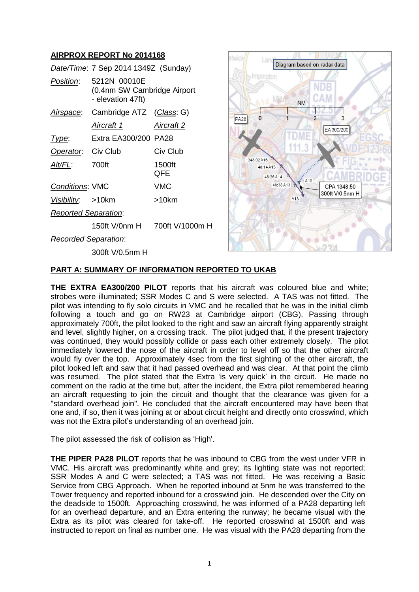## **AIRPROX REPORT No 2014168**

|                             | Date/Time: 7 Sep 2014 1349Z (Sunday)                             |               |
|-----------------------------|------------------------------------------------------------------|---------------|
| Position:                   | 5212N 00010E<br>(0.4nm SW Cambridge Airport<br>- elevation 47ft) |               |
| Airspace:                   | Cambridge ATZ (Class: G)                                         |               |
|                             | Aircraft 1                                                       | Aircraft 2    |
| <u>Type:</u>                | Extra EA300/200 PA28                                             |               |
| Operator. Civ Club          |                                                                  | Civ Club      |
| AIt/FL:                     | 700ft                                                            | 1500ft<br>QFE |
| <b>Conditions: VMC</b>      |                                                                  | VMC           |
| Visibility: >10km           |                                                                  | >10km         |
| <b>Reported Separation:</b> |                                                                  |               |
|                             |                                                                  |               |
| <b>Recorded Separation:</b> |                                                                  |               |



## *Recorded Separation*:

300ft V/0.5nm H

# **PART A: SUMMARY OF INFORMATION REPORTED TO UKAB**

**THE EXTRA EA300/200 PILOT** reports that his aircraft was coloured blue and white; strobes were illuminated; SSR Modes C and S were selected. A TAS was not fitted. The pilot was intending to fly solo circuits in VMC and he recalled that he was in the initial climb following a touch and go on RW23 at Cambridge airport (CBG). Passing through approximately 700ft, the pilot looked to the right and saw an aircraft flying apparently straight and level, slightly higher, on a crossing track. The pilot judged that, if the present trajectory was continued, they would possibly collide or pass each other extremely closely. The pilot immediately lowered the nose of the aircraft in order to level off so that the other aircraft would fly over the top. Approximately 4sec from the first sighting of the other aircraft, the pilot looked left and saw that it had passed overhead and was clear. At that point the climb was resumed. The pilot stated that the Extra 'is very quick' in the circuit. He made no comment on the radio at the time but, after the incident, the Extra pilot remembered hearing an aircraft requesting to join the circuit and thought that the clearance was given for a "standard overhead join". He concluded that the aircraft encountered may have been that one and, if so, then it was joining at or about circuit height and directly onto crosswind, which was not the Extra pilot's understanding of an overhead join.

The pilot assessed the risk of collision as 'High'.

**THE PIPER PA28 PILOT** reports that he was inbound to CBG from the west under VFR in VMC. His aircraft was predominantly white and grey; its lighting state was not reported; SSR Modes A and C were selected; a TAS was not fitted. He was receiving a Basic Service from CBG Approach. When he reported inbound at 5nm he was transferred to the Tower frequency and reported inbound for a crosswind join. He descended over the City on the deadside to 1500ft. Approaching crosswind, he was informed of a PA28 departing left for an overhead departure, and an Extra entering the runway; he became visual with the Extra as its pilot was cleared for take-off. He reported crosswind at 1500ft and was instructed to report on final as number one. He was visual with the PA28 departing from the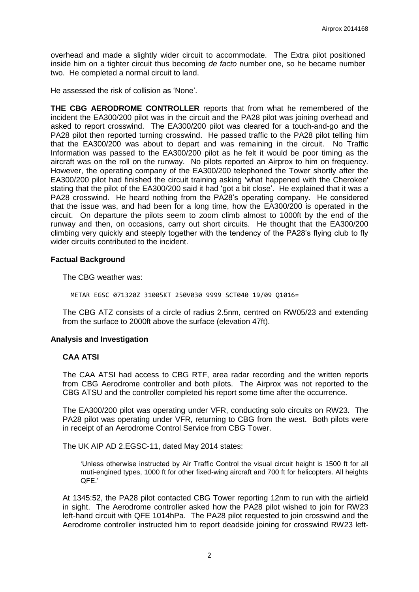overhead and made a slightly wider circuit to accommodate. The Extra pilot positioned inside him on a tighter circuit thus becoming *de facto* number one, so he became number two. He completed a normal circuit to land.

He assessed the risk of collision as 'None'.

**THE CBG AERODROME CONTROLLER** reports that from what he remembered of the incident the EA300/200 pilot was in the circuit and the PA28 pilot was joining overhead and asked to report crosswind. The EA300/200 pilot was cleared for a touch-and-go and the PA28 pilot then reported turning crosswind. He passed traffic to the PA28 pilot telling him that the EA300/200 was about to depart and was remaining in the circuit. No Traffic Information was passed to the EA300/200 pilot as he felt it would be poor timing as the aircraft was on the roll on the runway. No pilots reported an Airprox to him on frequency. However, the operating company of the EA300/200 telephoned the Tower shortly after the EA300/200 pilot had finished the circuit training asking 'what happened with the Cherokee' stating that the pilot of the EA300/200 said it had 'got a bit close'. He explained that it was a PA28 crosswind. He heard nothing from the PA28's operating company. He considered that the issue was, and had been for a long time, how the EA300/200 is operated in the circuit. On departure the pilots seem to zoom climb almost to 1000ft by the end of the runway and then, on occasions, carry out short circuits. He thought that the EA300/200 climbing very quickly and steeply together with the tendency of the PA28's flying club to fly wider circuits contributed to the incident.

#### **Factual Background**

The CBG weather was:

METAR EGSC 071320Z 31005KT 250V030 9999 SCT040 19/09 Q1016=

The CBG ATZ consists of a circle of radius 2.5nm, centred on RW05/23 and extending from the surface to 2000ft above the surface (elevation 47ft).

### **Analysis and Investigation**

#### **CAA ATSI**

The CAA ATSI had access to CBG RTF, area radar recording and the written reports from CBG Aerodrome controller and both pilots. The Airprox was not reported to the CBG ATSU and the controller completed his report some time after the occurrence.

The EA300/200 pilot was operating under VFR, conducting solo circuits on RW23. The PA28 pilot was operating under VFR, returning to CBG from the west. Both pilots were in receipt of an Aerodrome Control Service from CBG Tower.

The UK AIP AD 2.EGSC-11, dated May 2014 states:

'Unless otherwise instructed by Air Traffic Control the visual circuit height is 1500 ft for all muti-engined types, 1000 ft for other fixed-wing aircraft and 700 ft for helicopters. All heights QFE.'

At 1345:52, the PA28 pilot contacted CBG Tower reporting 12nm to run with the airfield in sight. The Aerodrome controller asked how the PA28 pilot wished to join for RW23 left-hand circuit with QFE 1014hPa. The PA28 pilot requested to join crosswind and the Aerodrome controller instructed him to report deadside joining for crosswind RW23 left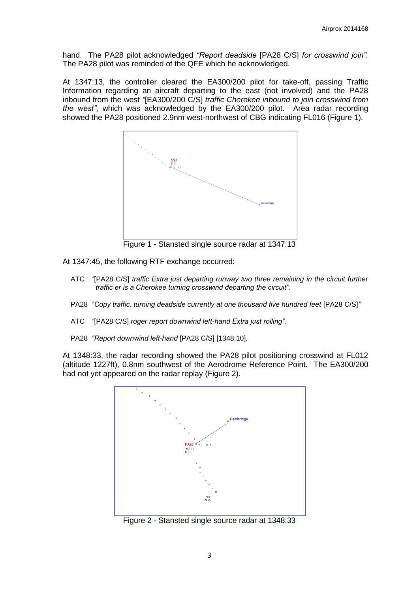hand. The PA28 pilot acknowledged *"Report deadside* [PA28 C/S] *for crosswind join".*  The PA28 pilot was reminded of the QFE which he acknowledged.

At 1347:13, the controller cleared the EA300/200 pilot for take-off, passing Traffic Information regarding an aircraft departing to the east (not involved) and the PA28 inbound from the west *"*[EA300/200 C/S] *traffic Cherokee inbound to join crosswind from the west"*, which was acknowledged by the EA300/200 pilot. Area radar recording showed the PA28 positioned 2.9nm west-northwest of CBG indicating FL016 (Figure 1).



Figure 1 - Stansted single source radar at 1347:13

At 1347:45, the following RTF exchange occurred:

- ATC *"*[PA28 C/S] *traffic Extra just departing runway two three remaining in the circuit further traffic er is a Cherokee turning crosswind departing the circuit".*
- PA28 *"Copy traffic, turning deadside currently at one thousand five hundred feet [PA28 C/S]"*
- ATC *"*[PA28 C/S] *roger report downwind left-hand Extra just rolling".*
- PA28 *"Report downwind left-hand* [PA28 C/S] [1348:10]*.*

At 1348:33, the radar recording showed the PA28 pilot positioning crosswind at FL012 (altitude 1227ft), 0.8nm southwest of the Aerodrome Reference Point. The EA300/200 had not yet appeared on the radar replay (Figure 2).



Figure 2 - Stansted single source radar at 1348:33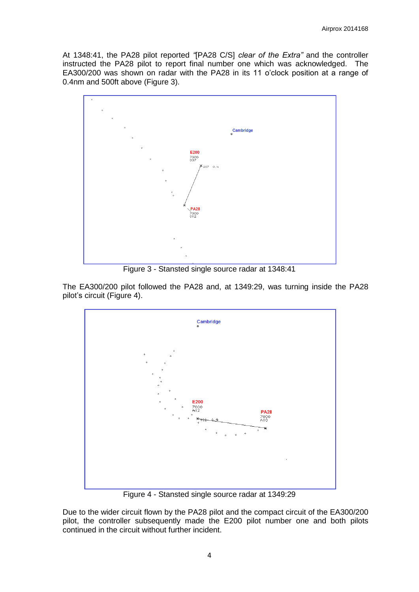At 1348:41, the PA28 pilot reported *"*[PA28 C/S] *clear of the Extra"* and the controller instructed the PA28 pilot to report final number one which was acknowledged. The EA300/200 was shown on radar with the PA28 in its 11 o'clock position at a range of 0.4nm and 500ft above (Figure 3).



Figure 3 - Stansted single source radar at 1348:41

The EA300/200 pilot followed the PA28 and, at 1349:29, was turning inside the PA28 pilot's circuit (Figure 4).



Figure 4 - Stansted single source radar at 1349:29

Due to the wider circuit flown by the PA28 pilot and the compact circuit of the EA300/200 pilot, the controller subsequently made the E200 pilot number one and both pilots continued in the circuit without further incident.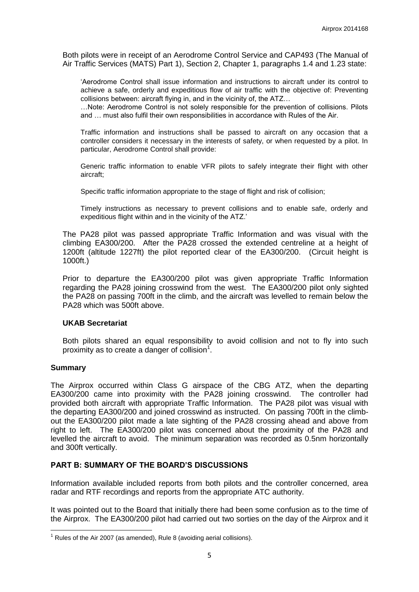Both pilots were in receipt of an Aerodrome Control Service and CAP493 (The Manual of Air Traffic Services (MATS) Part 1), Section 2, Chapter 1, paragraphs 1.4 and 1.23 state:

'Aerodrome Control shall issue information and instructions to aircraft under its control to achieve a safe, orderly and expeditious flow of air traffic with the objective of: Preventing collisions between: aircraft flying in, and in the vicinity of, the ATZ…

…Note: Aerodrome Control is not solely responsible for the prevention of collisions. Pilots and … must also fulfil their own responsibilities in accordance with Rules of the Air.

Traffic information and instructions shall be passed to aircraft on any occasion that a controller considers it necessary in the interests of safety, or when requested by a pilot. In particular, Aerodrome Control shall provide:

Generic traffic information to enable VFR pilots to safely integrate their flight with other aircraft;

Specific traffic information appropriate to the stage of flight and risk of collision;

Timely instructions as necessary to prevent collisions and to enable safe, orderly and expeditious flight within and in the vicinity of the ATZ.'

The PA28 pilot was passed appropriate Traffic Information and was visual with the climbing EA300/200. After the PA28 crossed the extended centreline at a height of 1200ft (altitude 1227ft) the pilot reported clear of the EA300/200. (Circuit height is 1000ft.)

Prior to departure the EA300/200 pilot was given appropriate Traffic Information regarding the PA28 joining crosswind from the west. The EA300/200 pilot only sighted the PA28 on passing 700ft in the climb, and the aircraft was levelled to remain below the PA28 which was 500ft above.

#### **UKAB Secretariat**

Both pilots shared an equal responsibility to avoid collision and not to fly into such proximity as to create a danger of collision<sup>1</sup>.

#### **Summary**

**.** 

The Airprox occurred within Class G airspace of the CBG ATZ, when the departing EA300/200 came into proximity with the PA28 joining crosswind. The controller had provided both aircraft with appropriate Traffic Information. The PA28 pilot was visual with the departing EA300/200 and joined crosswind as instructed. On passing 700ft in the climbout the EA300/200 pilot made a late sighting of the PA28 crossing ahead and above from right to left. The EA300/200 pilot was concerned about the proximity of the PA28 and levelled the aircraft to avoid. The minimum separation was recorded as 0.5nm horizontally and 300ft vertically.

### **PART B: SUMMARY OF THE BOARD'S DISCUSSIONS**

Information available included reports from both pilots and the controller concerned, area radar and RTF recordings and reports from the appropriate ATC authority.

It was pointed out to the Board that initially there had been some confusion as to the time of the Airprox. The EA300/200 pilot had carried out two sorties on the day of the Airprox and it

 $1$  Rules of the Air 2007 (as amended), Rule 8 (avoiding aerial collisions).